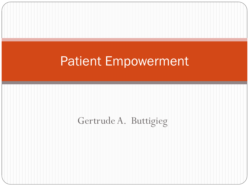## Patient Empowerment

### Gertrude A. Buttigieg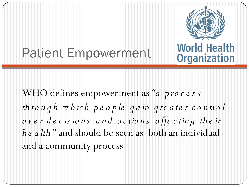## Patient Empowerment



**World Health Organization** 

WHO defines empowerment as *"a p ro c e s s th ro u g h w h ic h p e o p le g a in g re a te r c o n tro l o v e r d e c is io n s a n d a c tio n s a ffe c tin g th e ir he alth*" and should be seen as both an individual and a community process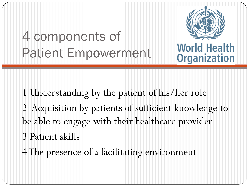# 4 components of Patient Empowerment



**World Health Organization** 

1 Understanding by the patient of his/her role 2 Acquisition by patients of sufficient knowledge to be able to engage with their healthcare provider 3 Patient skills

4 The presence of a facilitating environment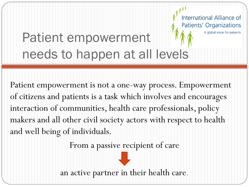### Patients' Organizations A global voice for patients Patient empowerment needs to happen at all levels

International Alliance of

Patient empowerment is not a one-way process. Empowerment of citizens and patients is a task which involves and encourages interaction of communities, health care professionals, policy makers and all other civil society actors with respect to health and well being of individuals.

From a passive recipient of care

to

an active partner in their health care.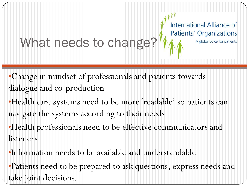# What needs to change?

International Alliance of Patients' Organizations

A global voice for patients

•Change in mindset of professionals and patients towards dialogue and co-production

•Health care systems need to be more 'readable' so patients can navigate the systems according to their needs

•Health professionals need to be effective communicators and listeners

•Information needs to be available and understandable

•Patients need to be prepared to ask questions, express needs and take joint decisions.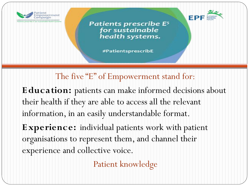



#PatientsprescribE

### The five "E" of Empowerment stand for:

**E ducation:** patients can make informed decisions about their health if they are able to access all the relevant information, in an easily understandable format.

**E xperience:** individual patients work with patient organisations to represent them, and channel their experience and collective voice.

Patient knowledge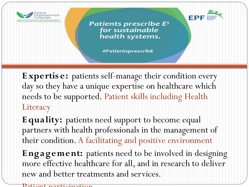



#PatientsprescribE

**E xpertis e:** patients self-manage their condition every day so they have a unique expertise on healthcare which needs to be supported. Patient skills including Health **Literacy** 

**E quality:** patients need support to become equal partners with health professionals in the management of their condition.A facilitating and positive environment

**E ngagement:** patients need to be involved in designing more effective healthcare for all, and in research to deliver new and better treatments and services.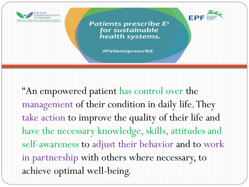

#PatientsprescribE

"An empowered patient has control over the management of their condition in daily life. They take action to improve the quality of their life and have the necessary knowledge, skills, attitudes and self-awareness to adjust their behavior and to work in partnership with others where necessary, to achieve optimal well-being.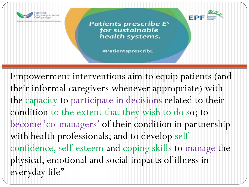



#PatientsprescribE

Empowerment interventions aim to equip patients (and their informal caregivers whenever appropriate) with the capacity to participate in decisions related to their condition to the extent that they wish to do so; to become 'co-managers' of their condition in partnership with health professionals; and to develop selfconfidence, self-esteem and coping skills to manage the physical, emotional and social impacts of illness in everyday life"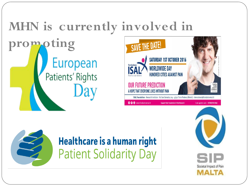#### **MHN is currently involved in promotingSAVE THE DATE! SATURDAY 1ST OCTOBER 2016** European **WORLDWIDE DAY** Patients' Rights **HUNDRED CITIES AGAINST PAIN OUR FUTURE PREDICTION** A HOPE THAT EVERYONE LIVES WITHOUT PAIN ISAL Foundation - Research Institute - Via San Salvador, 204 - 47922 Torre Pedrera (Rimini) - international@fondazioneisal.it O O www.fondazioneisal.it **Support ISAL Foundation in Pain Research**



## **Healthcare is a human right Patient Solidarity Day**



Cento<br>Città<br>il dolore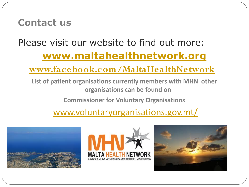### **Contact us**

## Please visit our website to find out more: **[www.maltahealthnetwork.org](http://www.maltahealthnetwork.org/)**

### **[www.facebook.com/MaltaHealthNetwork](http://www.facebook.com/MaltaHealthNetwork)**

**List of patient organisations currently members with MHN other organisations can be found on** 

**Commissioner for Voluntary Organisations**

### [www.voluntaryorganisations.gov.mt/](http://www.voluntaryorganisations.gov.mt/)





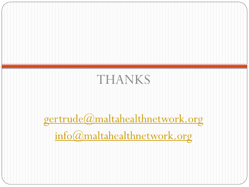

[gertrude@maltahealthnetwork.org](mailto:gertrude@maltahealthnetwork.org) [info@maltahealthnetwork.org](mailto:info@maltahealthnetwork.org)